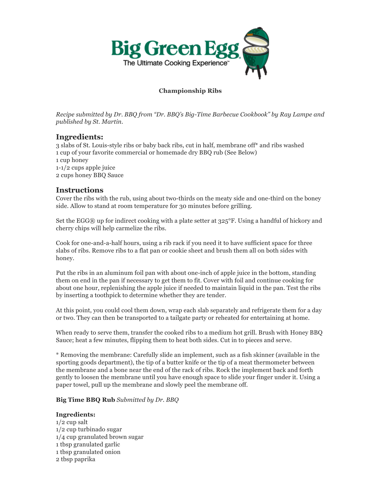

# **Championship Ribs**

*Recipe submitted by Dr. BBQ from "Dr. BBQ's Big-Time Barbecue Cookbook" by Ray Lampe and published by St. Martin.*

## **Ingredients:**

3 slabs of St. Louis-style ribs or baby back ribs, cut in half, membrane off\* and ribs washed 1 cup of your favorite commercial or homemade dry BBQ rub (See Below) 1 cup honey 1-1/2 cups apple juice 2 cups honey BBQ Sauce

## **Instructions**

Cover the ribs with the rub, using about two-thirds on the meaty side and one-third on the boney side. Allow to stand at room temperature for 30 minutes before grilling.

Set the EGG® up for indirect cooking with a plate setter at  $325^{\circ}$ F. Using a handful of hickory and cherry chips will help carmelize the ribs.

Cook for one-and-a-half hours, using a rib rack if you need it to have sufficient space for three slabs of ribs. Remove ribs to a flat pan or cookie sheet and brush them all on both sides with honey.

Put the ribs in an aluminum foil pan with about one-inch of apple juice in the bottom, standing them on end in the pan if necessary to get them to fit. Cover with foil and continue cooking for about one hour, replenishing the apple juice if needed to maintain liquid in the pan. Test the ribs by inserting a toothpick to determine whether they are tender.

At this point, you could cool them down, wrap each slab separately and refrigerate them for a day or two. They can then be transported to a tailgate party or reheated for entertaining at home.

When ready to serve them, transfer the cooked ribs to a medium hot grill. Brush with Honey BBQ Sauce; heat a few minutes, flipping them to heat both sides. Cut in to pieces and serve.

\* Removing the membrane: Carefully slide an implement, such as a fish skinner (available in the sporting goods department), the tip of a butter knife or the tip of a meat thermometer between the membrane and a bone near the end of the rack of ribs. Rock the implement back and forth gently to loosen the membrane until you have enough space to slide your finger under it. Using a paper towel, pull up the membrane and slowly peel the membrane off.

### **Big Time BBQ Rub** *Submitted by Dr. BBQ*

### **Ingredients:**

1/2 cup salt 1/2 cup turbinado sugar 1/4 cup granulated brown sugar 1 tbsp granulated garlic 1 tbsp granulated onion 2 tbsp paprika